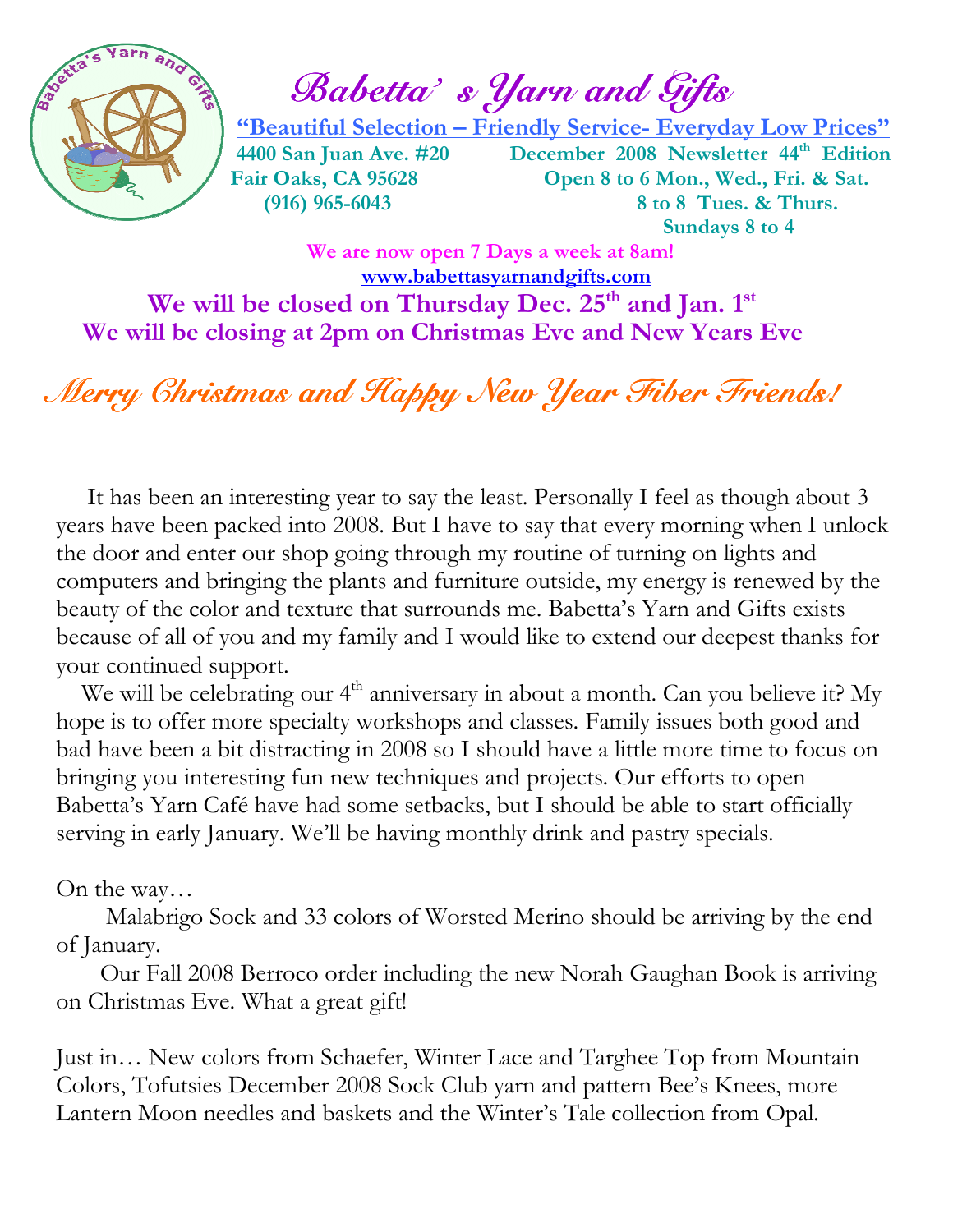

 $\mathbb{Z}$  and  $\mathbb{Z}$  and  $\mathbb{Z}$  and  $\mathbb{Z}$  and  $\mathbb{Z}$ 

 "Beautiful Selection – Friendly Service- Everyday Low Prices" 4400 San Juan Ave. #20 December 2008 Newsletter 44<sup>th</sup> Edition Fair Oaks, CA 95628 Open 8 to 6 Mon., Wed., Fri. & Sat. (916) 965-6043 8 to 8 Tues. & Thurs. Sundays 8 to 4

We are now open 7 Days a week at 8am! www.babettasyarnandgifts.com We will be closed on Thursday Dec.  $25<sup>th</sup>$  and Jan.  $1<sup>st</sup>$ We will be closing at 2pm on Christmas Eve and New Years Eve

## Merry Christmas and Happy New Year Fiber Friends!

 It has been an interesting year to say the least. Personally I feel as though about 3 years have been packed into 2008. But I have to say that every morning when I unlock the door and enter our shop going through my routine of turning on lights and computers and bringing the plants and furniture outside, my energy is renewed by the beauty of the color and texture that surrounds me. Babetta's Yarn and Gifts exists because of all of you and my family and I would like to extend our deepest thanks for your continued support.

We will be celebrating our 4<sup>th</sup> anniversary in about a month. Can you believe it? My hope is to offer more specialty workshops and classes. Family issues both good and bad have been a bit distracting in 2008 so I should have a little more time to focus on bringing you interesting fun new techniques and projects. Our efforts to open Babetta's Yarn Café have had some setbacks, but I should be able to start officially serving in early January. We'll be having monthly drink and pastry specials.

#### On the way…

 Malabrigo Sock and 33 colors of Worsted Merino should be arriving by the end of January.

 Our Fall 2008 Berroco order including the new Norah Gaughan Book is arriving on Christmas Eve. What a great gift!

Just in… New colors from Schaefer, Winter Lace and Targhee Top from Mountain Colors, Tofutsies December 2008 Sock Club yarn and pattern Bee's Knees, more Lantern Moon needles and baskets and the Winter's Tale collection from Opal.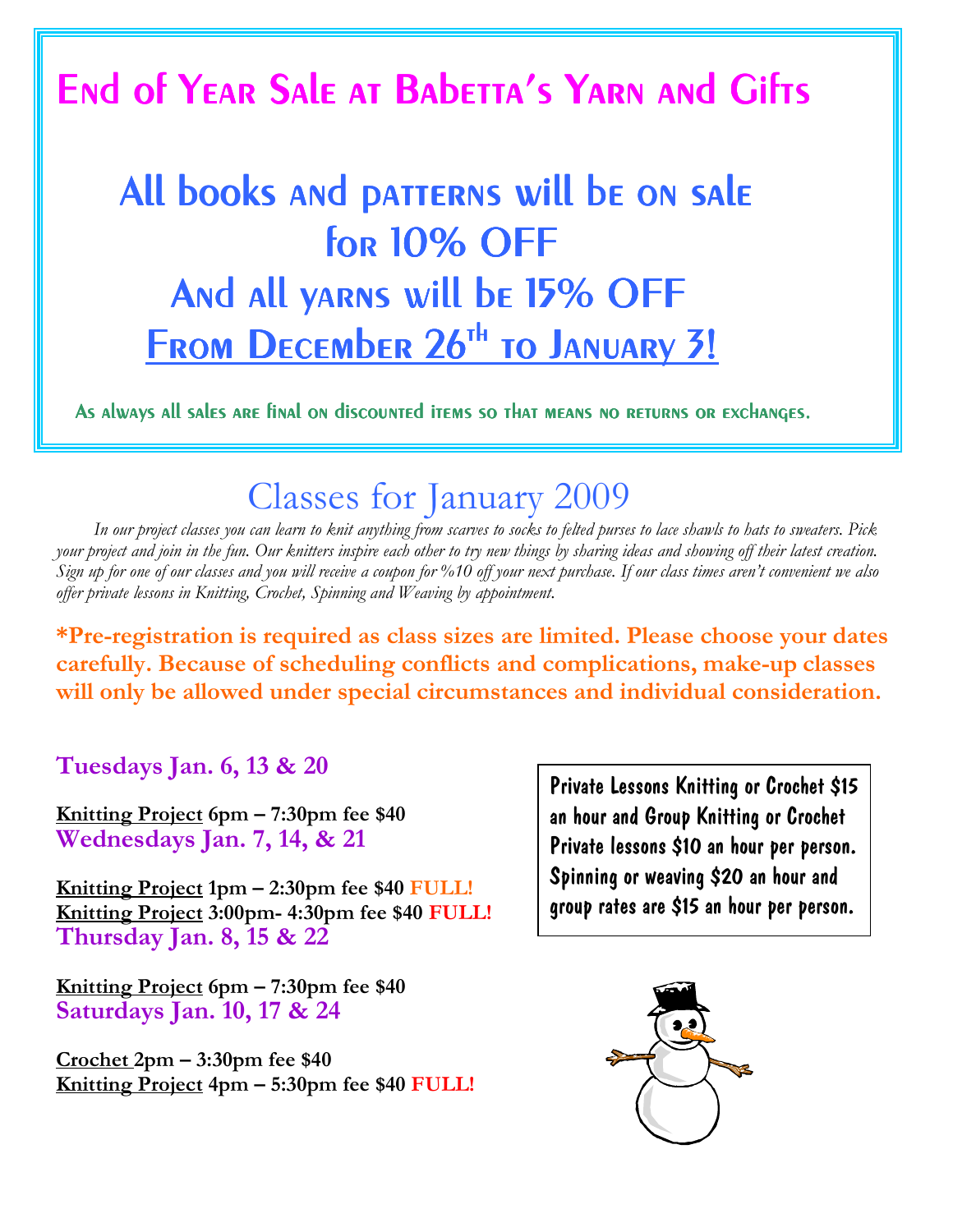## End of YEAR Sale at Babetta's YARN and Gifts

# All books and patterns will be on sale  $for 10%$  OFF And all yarns will be 15% OFF FROM DECEMbER 26<sup>th</sup> TO JANUARY 3!

As always all sales are final on discounted items so that means no returns or exchanges.

### Classes for January 2009

 In our project classes you can learn to knit anything from scarves to socks to felted purses to lace shawls to hats to sweaters. Pick your project and join in the fun. Our knitters inspire each other to try new things by sharing ideas and showing off their latest creation. Sign up for one of our classes and you will receive a coupon for %10 off your next purchase. If our class times aren't convenient we also offer private lessons in Knitting, Crochet, Spinning and Weaving by appointment.

\*Pre-registration is required as class sizes are limited. Please choose your dates carefully. Because of scheduling conflicts and complications, make-up classes will only be allowed under special circumstances and individual consideration.

Tuesdays Jan. 6, 13 & 20

Knitting Project 6pm – 7:30pm fee \$40 Wednesdays Jan. 7, 14, & 21

Knitting Project 1pm – 2:30pm fee \$40 FULL! Knitting Project 3:00pm- 4:30pm fee \$40 FULL! Thursday Jan. 8, 15 & 22

Knitting Project 6pm – 7:30pm fee \$40 Saturdays Jan. 10, 17 & 24

 $Grochet 2pm - 3:30pm$  fee \$40</u> Knitting Project 4pm – 5:30pm fee \$40 FULL! Private Lessons Knitting or Crochet \$15 an hour and Group Knitting or Crochet Private lessons \$10 an hour per person. Spinning or weaving \$20 an hour and group rates are \$15 an hour per person.